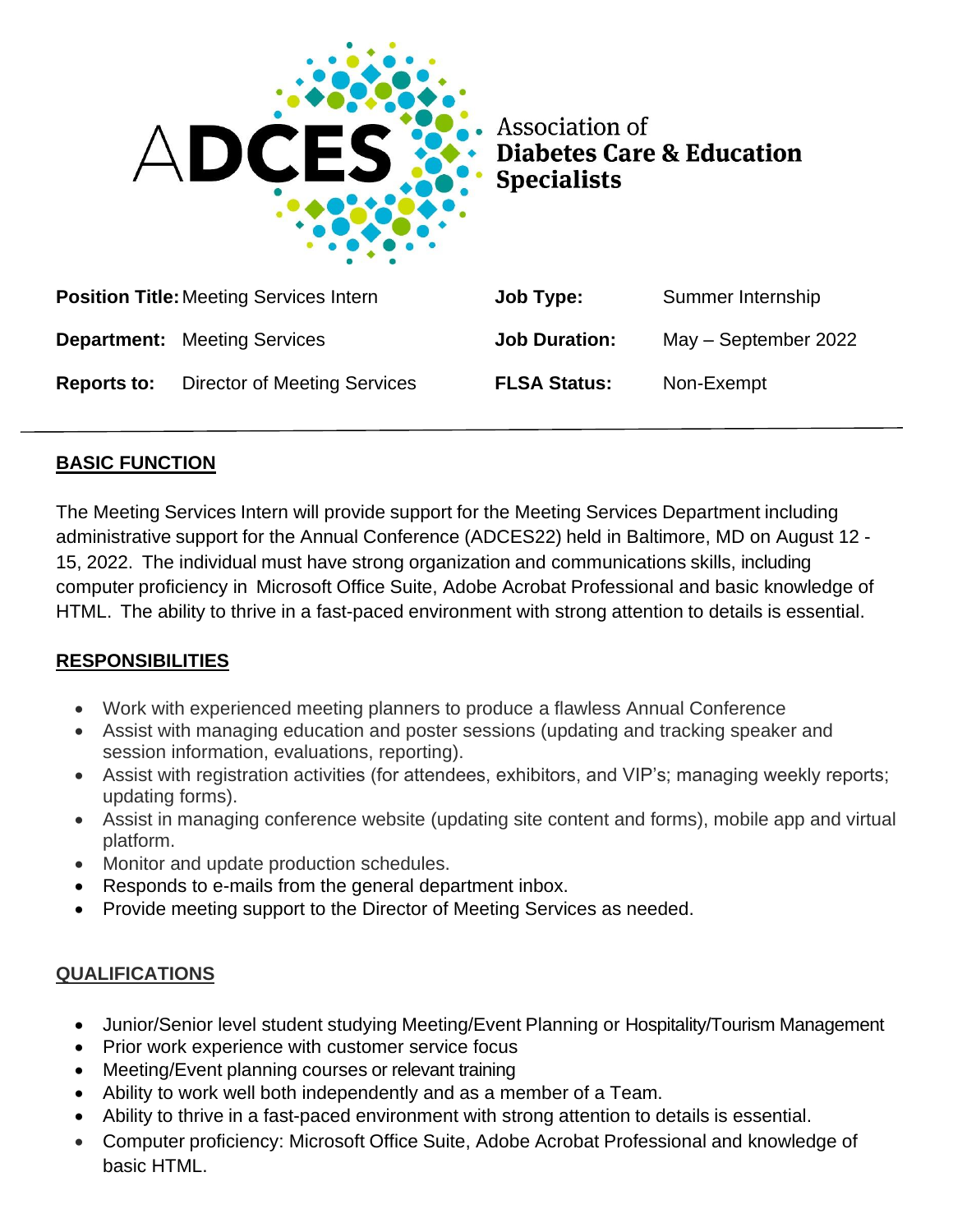

Association of **Diabetes Care & Education Specialists** 

|                    | <b>Position Title: Meeting Services Intern</b> | Job Type:            | Summer Internship    |
|--------------------|------------------------------------------------|----------------------|----------------------|
|                    | <b>Department:</b> Meeting Services            | <b>Job Duration:</b> | May - September 2022 |
| <b>Reports to:</b> | <b>Director of Meeting Services</b>            | <b>FLSA Status:</b>  | Non-Exempt           |

### **BASIC FUNCTION**

The Meeting Services Intern will provide support for the Meeting Services Department including administrative support for the Annual Conference (ADCES22) held in Baltimore, MD on August 12 - 15, 2022. The individual must have strong organization and communications skills, including computer proficiency in Microsoft Office Suite, Adobe Acrobat Professional and basic knowledge of HTML. The ability to thrive in a fast-paced environment with strong attention to details is essential.

## **RESPONSIBILITIES**

- Work with experienced meeting planners to produce a flawless Annual Conference
- Assist with managing education and poster sessions (updating and tracking speaker and session information, evaluations, reporting).
- Assist with registration activities (for attendees, exhibitors, and VIP's; managing weekly reports; updating forms).
- Assist in managing conference website (updating site content and forms), mobile app and virtual platform.
- Monitor and update production schedules.
- Responds to e-mails from the general department inbox.
- Provide meeting support to the Director of Meeting Services as needed.

### **QUALIFICATIONS**

- Junior/Senior level student studying Meeting/Event Planning or Hospitality/Tourism Management
- Prior work experience with customer service focus
- Meeting/Event planning courses or relevant training
- Ability to work well both independently and as a member of a Team.
- Ability to thrive in a fast-paced environment with strong attention to details is essential.
- Computer proficiency: Microsoft Office Suite, Adobe Acrobat Professional and knowledge of basic HTML.